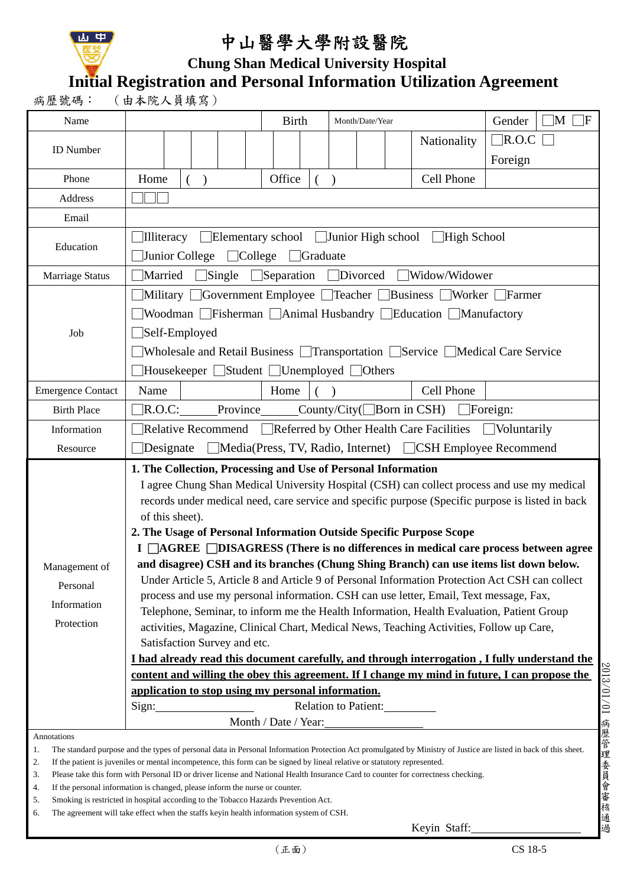

## 中山醫學大學附設醫院

 **Chung Shan Medical University Hospital** 

**Initial Registration and Personal Information Utilization Agreement** 

| M<br><b>Birth</b><br>Gender<br>Name<br>- IF<br>Month/Date/Year<br>$\Box$ R.O.C<br>Nationality<br><b>ID</b> Number<br>Foreign<br>Office<br>Cell Phone<br>Home<br>Phone<br>$\mathcal{E}$<br>Address<br>Email<br>$\Box$ Elementary school $\Box$ Junior High school<br>High School<br><b>Illiteracy</b><br>Education<br>Junior College<br>$\Box$ College<br>Graduate<br>Married<br>Single<br>$\Box$ Separation<br>Divorced<br>Widow/Widower<br>Marriage Status<br>■Military ■ Government Employee ■ Teacher ■ Business ■ Worker ■ Farmer<br>■Woodman Fisherman Animal Husbandry Education Manufactory<br>$\Box$ Self-Employed<br>Job<br>■Wholesale and Retail Business ■Transportation ■Service ■Medical Care Service<br>$\Box$ Housekeeper $\Box$ Student $\Box$ Unemployed $\Box$ Others<br>Name<br>Cell Phone<br><b>Emergence Contact</b><br>Home<br>R.O.C:<br>Province<br>County/City( $\Box$ Born in CSH) $\Box$ Foreign:<br><b>Birth Place</b><br>$\Box$ Relative Recommend $\Box$ Referred by Other Health Care Facilities $\Box$ Voluntarily<br>Information<br>■Media(Press, TV, Radio, Internet) ■ CSH Employee Recommend<br>Designate<br>Resource<br>1. The Collection, Processing and Use of Personal Information<br>I agree Chung Shan Medical University Hospital (CSH) can collect process and use my medical<br>records under medical need, care service and specific purpose (Specific purpose is listed in back<br>of this sheet).<br>2. The Usage of Personal Information Outside Specific Purpose Scope<br>I <b>CAGREE DISAGRESS</b> (There is no differences in medical care process between agree<br>and disagree) CSH and its branches (Chung Shing Branch) can use items list down below.<br>Management of<br>Under Article 5, Article 8 and Article 9 of Personal Information Protection Act CSH can collect<br>Personal<br>process and use my personal information. CSH can use letter, Email, Text message, Fax,<br>Information<br>Telephone, Seminar, to inform me the Health Information, Health Evaluation, Patient Group<br>Protection<br>activities, Magazine, Clinical Chart, Medical News, Teaching Activities, Follow up Care,<br>Satisfaction Survey and etc.<br>I had already read this document carefully, and through interrogation, I fully understand the<br>content and willing the obey this agreement. If I change my mind in future, I can propose the<br>application to stop using my personal information.<br>Relation to Patient:<br>Sign:<br>Month / Date / Year:<br>Annotations | 病歷號碼: | (由本院人員填寫) |  |  |  |  |  |  |  |  |  |  |  |  |  |
|-------------------------------------------------------------------------------------------------------------------------------------------------------------------------------------------------------------------------------------------------------------------------------------------------------------------------------------------------------------------------------------------------------------------------------------------------------------------------------------------------------------------------------------------------------------------------------------------------------------------------------------------------------------------------------------------------------------------------------------------------------------------------------------------------------------------------------------------------------------------------------------------------------------------------------------------------------------------------------------------------------------------------------------------------------------------------------------------------------------------------------------------------------------------------------------------------------------------------------------------------------------------------------------------------------------------------------------------------------------------------------------------------------------------------------------------------------------------------------------------------------------------------------------------------------------------------------------------------------------------------------------------------------------------------------------------------------------------------------------------------------------------------------------------------------------------------------------------------------------------------------------------------------------------------------------------------------------------------------------------------------------------------------------------------------------------------------------------------------------------------------------------------------------------------------------------------------------------------------------------------------------------------------------------------------------------------------------------------------------------------------------------------------------------------------------------------------------------------------------------------------------------------------|-------|-----------|--|--|--|--|--|--|--|--|--|--|--|--|--|
|                                                                                                                                                                                                                                                                                                                                                                                                                                                                                                                                                                                                                                                                                                                                                                                                                                                                                                                                                                                                                                                                                                                                                                                                                                                                                                                                                                                                                                                                                                                                                                                                                                                                                                                                                                                                                                                                                                                                                                                                                                                                                                                                                                                                                                                                                                                                                                                                                                                                                                                               |       |           |  |  |  |  |  |  |  |  |  |  |  |  |  |
|                                                                                                                                                                                                                                                                                                                                                                                                                                                                                                                                                                                                                                                                                                                                                                                                                                                                                                                                                                                                                                                                                                                                                                                                                                                                                                                                                                                                                                                                                                                                                                                                                                                                                                                                                                                                                                                                                                                                                                                                                                                                                                                                                                                                                                                                                                                                                                                                                                                                                                                               |       |           |  |  |  |  |  |  |  |  |  |  |  |  |  |
|                                                                                                                                                                                                                                                                                                                                                                                                                                                                                                                                                                                                                                                                                                                                                                                                                                                                                                                                                                                                                                                                                                                                                                                                                                                                                                                                                                                                                                                                                                                                                                                                                                                                                                                                                                                                                                                                                                                                                                                                                                                                                                                                                                                                                                                                                                                                                                                                                                                                                                                               |       |           |  |  |  |  |  |  |  |  |  |  |  |  |  |
|                                                                                                                                                                                                                                                                                                                                                                                                                                                                                                                                                                                                                                                                                                                                                                                                                                                                                                                                                                                                                                                                                                                                                                                                                                                                                                                                                                                                                                                                                                                                                                                                                                                                                                                                                                                                                                                                                                                                                                                                                                                                                                                                                                                                                                                                                                                                                                                                                                                                                                                               |       |           |  |  |  |  |  |  |  |  |  |  |  |  |  |
|                                                                                                                                                                                                                                                                                                                                                                                                                                                                                                                                                                                                                                                                                                                                                                                                                                                                                                                                                                                                                                                                                                                                                                                                                                                                                                                                                                                                                                                                                                                                                                                                                                                                                                                                                                                                                                                                                                                                                                                                                                                                                                                                                                                                                                                                                                                                                                                                                                                                                                                               |       |           |  |  |  |  |  |  |  |  |  |  |  |  |  |
|                                                                                                                                                                                                                                                                                                                                                                                                                                                                                                                                                                                                                                                                                                                                                                                                                                                                                                                                                                                                                                                                                                                                                                                                                                                                                                                                                                                                                                                                                                                                                                                                                                                                                                                                                                                                                                                                                                                                                                                                                                                                                                                                                                                                                                                                                                                                                                                                                                                                                                                               |       |           |  |  |  |  |  |  |  |  |  |  |  |  |  |
|                                                                                                                                                                                                                                                                                                                                                                                                                                                                                                                                                                                                                                                                                                                                                                                                                                                                                                                                                                                                                                                                                                                                                                                                                                                                                                                                                                                                                                                                                                                                                                                                                                                                                                                                                                                                                                                                                                                                                                                                                                                                                                                                                                                                                                                                                                                                                                                                                                                                                                                               |       |           |  |  |  |  |  |  |  |  |  |  |  |  |  |
|                                                                                                                                                                                                                                                                                                                                                                                                                                                                                                                                                                                                                                                                                                                                                                                                                                                                                                                                                                                                                                                                                                                                                                                                                                                                                                                                                                                                                                                                                                                                                                                                                                                                                                                                                                                                                                                                                                                                                                                                                                                                                                                                                                                                                                                                                                                                                                                                                                                                                                                               |       |           |  |  |  |  |  |  |  |  |  |  |  |  |  |
|                                                                                                                                                                                                                                                                                                                                                                                                                                                                                                                                                                                                                                                                                                                                                                                                                                                                                                                                                                                                                                                                                                                                                                                                                                                                                                                                                                                                                                                                                                                                                                                                                                                                                                                                                                                                                                                                                                                                                                                                                                                                                                                                                                                                                                                                                                                                                                                                                                                                                                                               |       |           |  |  |  |  |  |  |  |  |  |  |  |  |  |
|                                                                                                                                                                                                                                                                                                                                                                                                                                                                                                                                                                                                                                                                                                                                                                                                                                                                                                                                                                                                                                                                                                                                                                                                                                                                                                                                                                                                                                                                                                                                                                                                                                                                                                                                                                                                                                                                                                                                                                                                                                                                                                                                                                                                                                                                                                                                                                                                                                                                                                                               |       |           |  |  |  |  |  |  |  |  |  |  |  |  |  |
|                                                                                                                                                                                                                                                                                                                                                                                                                                                                                                                                                                                                                                                                                                                                                                                                                                                                                                                                                                                                                                                                                                                                                                                                                                                                                                                                                                                                                                                                                                                                                                                                                                                                                                                                                                                                                                                                                                                                                                                                                                                                                                                                                                                                                                                                                                                                                                                                                                                                                                                               |       |           |  |  |  |  |  |  |  |  |  |  |  |  |  |
|                                                                                                                                                                                                                                                                                                                                                                                                                                                                                                                                                                                                                                                                                                                                                                                                                                                                                                                                                                                                                                                                                                                                                                                                                                                                                                                                                                                                                                                                                                                                                                                                                                                                                                                                                                                                                                                                                                                                                                                                                                                                                                                                                                                                                                                                                                                                                                                                                                                                                                                               |       |           |  |  |  |  |  |  |  |  |  |  |  |  |  |
|                                                                                                                                                                                                                                                                                                                                                                                                                                                                                                                                                                                                                                                                                                                                                                                                                                                                                                                                                                                                                                                                                                                                                                                                                                                                                                                                                                                                                                                                                                                                                                                                                                                                                                                                                                                                                                                                                                                                                                                                                                                                                                                                                                                                                                                                                                                                                                                                                                                                                                                               |       |           |  |  |  |  |  |  |  |  |  |  |  |  |  |
|                                                                                                                                                                                                                                                                                                                                                                                                                                                                                                                                                                                                                                                                                                                                                                                                                                                                                                                                                                                                                                                                                                                                                                                                                                                                                                                                                                                                                                                                                                                                                                                                                                                                                                                                                                                                                                                                                                                                                                                                                                                                                                                                                                                                                                                                                                                                                                                                                                                                                                                               |       |           |  |  |  |  |  |  |  |  |  |  |  |  |  |
|                                                                                                                                                                                                                                                                                                                                                                                                                                                                                                                                                                                                                                                                                                                                                                                                                                                                                                                                                                                                                                                                                                                                                                                                                                                                                                                                                                                                                                                                                                                                                                                                                                                                                                                                                                                                                                                                                                                                                                                                                                                                                                                                                                                                                                                                                                                                                                                                                                                                                                                               |       |           |  |  |  |  |  |  |  |  |  |  |  |  |  |
|                                                                                                                                                                                                                                                                                                                                                                                                                                                                                                                                                                                                                                                                                                                                                                                                                                                                                                                                                                                                                                                                                                                                                                                                                                                                                                                                                                                                                                                                                                                                                                                                                                                                                                                                                                                                                                                                                                                                                                                                                                                                                                                                                                                                                                                                                                                                                                                                                                                                                                                               |       |           |  |  |  |  |  |  |  |  |  |  |  |  |  |
|                                                                                                                                                                                                                                                                                                                                                                                                                                                                                                                                                                                                                                                                                                                                                                                                                                                                                                                                                                                                                                                                                                                                                                                                                                                                                                                                                                                                                                                                                                                                                                                                                                                                                                                                                                                                                                                                                                                                                                                                                                                                                                                                                                                                                                                                                                                                                                                                                                                                                                                               |       |           |  |  |  |  |  |  |  |  |  |  |  |  |  |
|                                                                                                                                                                                                                                                                                                                                                                                                                                                                                                                                                                                                                                                                                                                                                                                                                                                                                                                                                                                                                                                                                                                                                                                                                                                                                                                                                                                                                                                                                                                                                                                                                                                                                                                                                                                                                                                                                                                                                                                                                                                                                                                                                                                                                                                                                                                                                                                                                                                                                                                               |       |           |  |  |  |  |  |  |  |  |  |  |  |  |  |
|                                                                                                                                                                                                                                                                                                                                                                                                                                                                                                                                                                                                                                                                                                                                                                                                                                                                                                                                                                                                                                                                                                                                                                                                                                                                                                                                                                                                                                                                                                                                                                                                                                                                                                                                                                                                                                                                                                                                                                                                                                                                                                                                                                                                                                                                                                                                                                                                                                                                                                                               |       |           |  |  |  |  |  |  |  |  |  |  |  |  |  |
| The standard purpose and the types of personal data in Personal Information Protection Act promulgated by Ministry of Justice are listed in back of this sheet.                                                                                                                                                                                                                                                                                                                                                                                                                                                                                                                                                                                                                                                                                                                                                                                                                                                                                                                                                                                                                                                                                                                                                                                                                                                                                                                                                                                                                                                                                                                                                                                                                                                                                                                                                                                                                                                                                                                                                                                                                                                                                                                                                                                                                                                                                                                                                               | 1.    |           |  |  |  |  |  |  |  |  |  |  |  |  |  |

2. If the patient is juveniles or mental incompetence, this form can be signed by lineal relative or statutory represented.

3. Please take this form with Personal ID or driver license and National Health Insurance Card to counter for correctness checking.

4. If the personal information is changed, please inform the nurse or counter.

5. Smoking is restricted in hospital according to the Tobacco Hazards Prevention Act.

6. The agreement will take effect when the staffs keyin health information system of CSH.

Keyin Staff: